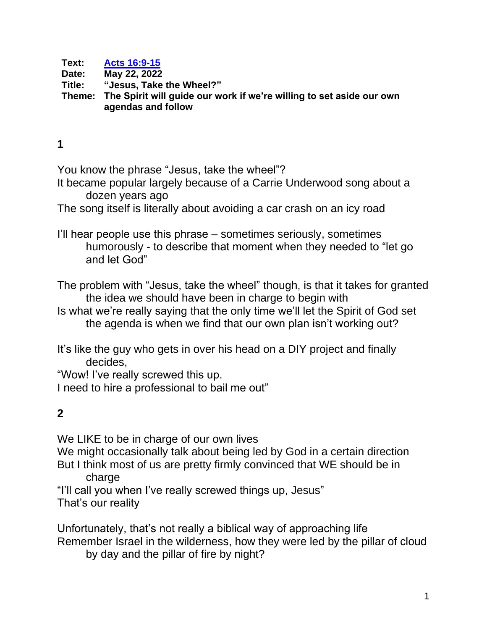**Text: [Acts 16:9-15](https://www.biblegateway.com/passage/?search=acts+16%3A9-15&version=CEB) Date: May 22, 2022 Title: "Jesus, Take the Wheel?" Theme: The Spirit will guide our work if we're willing to set aside our own agendas and follow**

## **1**

You know the phrase "Jesus, take the wheel"?

It became popular largely because of a Carrie Underwood song about a dozen years ago

The song itself is literally about avoiding a car crash on an icy road

I'll hear people use this phrase – sometimes seriously, sometimes humorously - to describe that moment when they needed to "let go and let God"

The problem with "Jesus, take the wheel" though, is that it takes for granted the idea we should have been in charge to begin with

Is what we're really saying that the only time we'll let the Spirit of God set the agenda is when we find that our own plan isn't working out?

It's like the guy who gets in over his head on a DIY project and finally decides,

"Wow! I've really screwed this up.

I need to hire a professional to bail me out"

## **2**

We LIKE to be in charge of our own lives

We might occasionally talk about being led by God in a certain direction But I think most of us are pretty firmly convinced that WE should be in charge

"I'll call you when I've really screwed things up, Jesus"

That's our reality

Unfortunately, that's not really a biblical way of approaching life Remember Israel in the wilderness, how they were led by the pillar of cloud by day and the pillar of fire by night?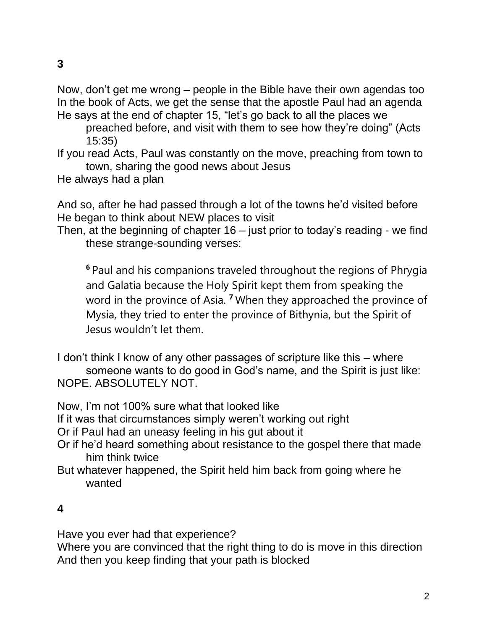Now, don't get me wrong – people in the Bible have their own agendas too In the book of Acts, we get the sense that the apostle Paul had an agenda He says at the end of chapter 15, "let's go back to all the places we

preached before, and visit with them to see how they're doing" (Acts 15:35)

If you read Acts, Paul was constantly on the move, preaching from town to town, sharing the good news about Jesus

He always had a plan

And so, after he had passed through a lot of the towns he'd visited before He began to think about NEW places to visit

Then, at the beginning of chapter 16 – just prior to today's reading - we find these strange-sounding verses:

**<sup>6</sup>** Paul and his companions traveled throughout the regions of Phrygia and Galatia because the Holy Spirit kept them from speaking the word in the province of Asia. **<sup>7</sup>** When they approached the province of Mysia, they tried to enter the province of Bithynia, but the Spirit of Jesus wouldn't let them.

I don't think I know of any other passages of scripture like this – where someone wants to do good in God's name, and the Spirit is just like: NOPE. ABSOLUTELY NOT.

Now, I'm not 100% sure what that looked like

If it was that circumstances simply weren't working out right

Or if Paul had an uneasy feeling in his gut about it

- Or if he'd heard something about resistance to the gospel there that made him think twice
- But whatever happened, the Spirit held him back from going where he wanted

## **4**

Have you ever had that experience?

Where you are convinced that the right thing to do is move in this direction And then you keep finding that your path is blocked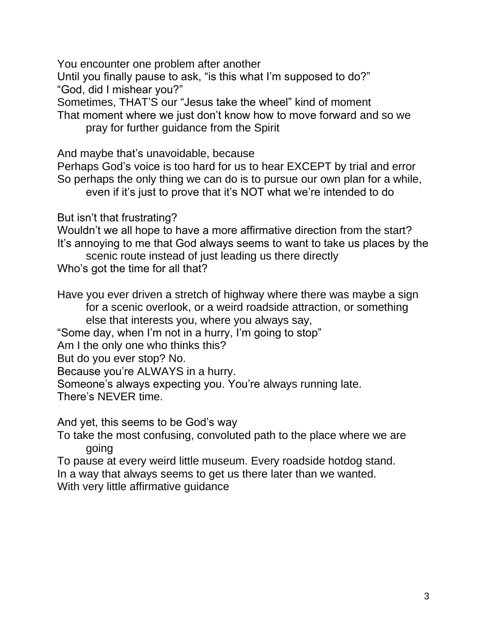You encounter one problem after another

Until you finally pause to ask, "is this what I'm supposed to do?" "God, did I mishear you?"

Sometimes, THAT'S our "Jesus take the wheel" kind of moment

That moment where we just don't know how to move forward and so we pray for further guidance from the Spirit

And maybe that's unavoidable, because

Perhaps God's voice is too hard for us to hear EXCEPT by trial and error So perhaps the only thing we can do is to pursue our own plan for a while, even if it's just to prove that it's NOT what we're intended to do

But isn't that frustrating?

Wouldn't we all hope to have a more affirmative direction from the start? It's annoying to me that God always seems to want to take us places by the

scenic route instead of just leading us there directly Who's got the time for all that?

Have you ever driven a stretch of highway where there was maybe a sign for a scenic overlook, or a weird roadside attraction, or something else that interests you, where you always say,

"Some day, when I'm not in a hurry, I'm going to stop"

Am I the only one who thinks this?

But do you ever stop? No.

Because you're ALWAYS in a hurry.

Someone's always expecting you. You're always running late.

There's NEVER time.

And yet, this seems to be God's way

To take the most confusing, convoluted path to the place where we are going

To pause at every weird little museum. Every roadside hotdog stand. In a way that always seems to get us there later than we wanted. With very little affirmative guidance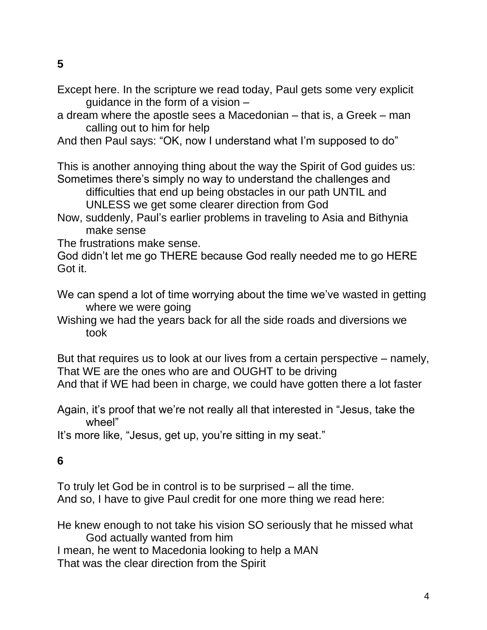**5**

- Except here. In the scripture we read today, Paul gets some very explicit quidance in the form of a vision  $-$
- a dream where the apostle sees a Macedonian that is, a Greek man calling out to him for help

And then Paul says: "OK, now I understand what I'm supposed to do"

This is another annoying thing about the way the Spirit of God guides us: Sometimes there's simply no way to understand the challenges and

difficulties that end up being obstacles in our path UNTIL and UNLESS we get some clearer direction from God

Now, suddenly, Paul's earlier problems in traveling to Asia and Bithynia make sense

The frustrations make sense.

God didn't let me go THERE because God really needed me to go HERE Got it.

- We can spend a lot of time worrying about the time we've wasted in getting where we were going
- Wishing we had the years back for all the side roads and diversions we took

But that requires us to look at our lives from a certain perspective – namely, That WE are the ones who are and OUGHT to be driving And that if WE had been in charge, we could have gotten there a lot faster

Again, it's proof that we're not really all that interested in "Jesus, take the wheel"

It's more like, "Jesus, get up, you're sitting in my seat."

## **6**

To truly let God be in control is to be surprised – all the time. And so, I have to give Paul credit for one more thing we read here:

He knew enough to not take his vision SO seriously that he missed what God actually wanted from him I mean, he went to Macedonia looking to help a MAN

That was the clear direction from the Spirit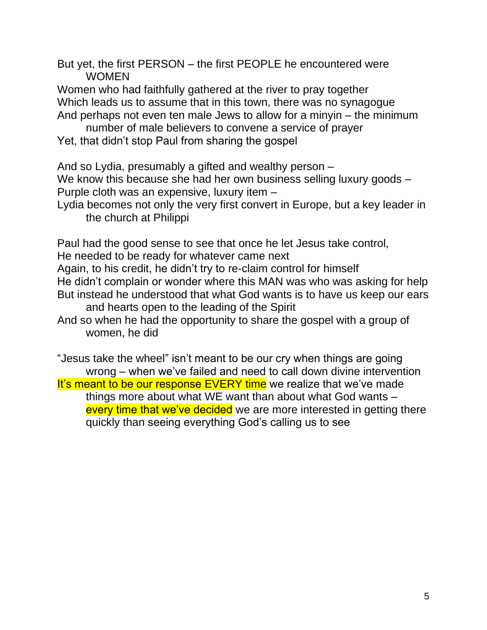But yet, the first PERSON – the first PEOPLE he encountered were WOMEN

Women who had faithfully gathered at the river to pray together Which leads us to assume that in this town, there was no synagogue And perhaps not even ten male Jews to allow for a minyin – the minimum

number of male believers to convene a service of prayer

Yet, that didn't stop Paul from sharing the gospel

And so Lydia, presumably a gifted and wealthy person –

We know this because she had her own business selling luxury goods -Purple cloth was an expensive, luxury item –

Lydia becomes not only the very first convert in Europe, but a key leader in the church at Philippi

Paul had the good sense to see that once he let Jesus take control,

He needed to be ready for whatever came next

Again, to his credit, he didn't try to re-claim control for himself

He didn't complain or wonder where this MAN was who was asking for help But instead he understood that what God wants is to have us keep our ears and hearts open to the leading of the Spirit

And so when he had the opportunity to share the gospel with a group of women, he did

"Jesus take the wheel" isn't meant to be our cry when things are going wrong – when we've failed and need to call down divine intervention It's meant to be our response EVERY time we realize that we've made things more about what WE want than about what God wants – every time that we've decided we are more interested in getting there quickly than seeing everything God's calling us to see